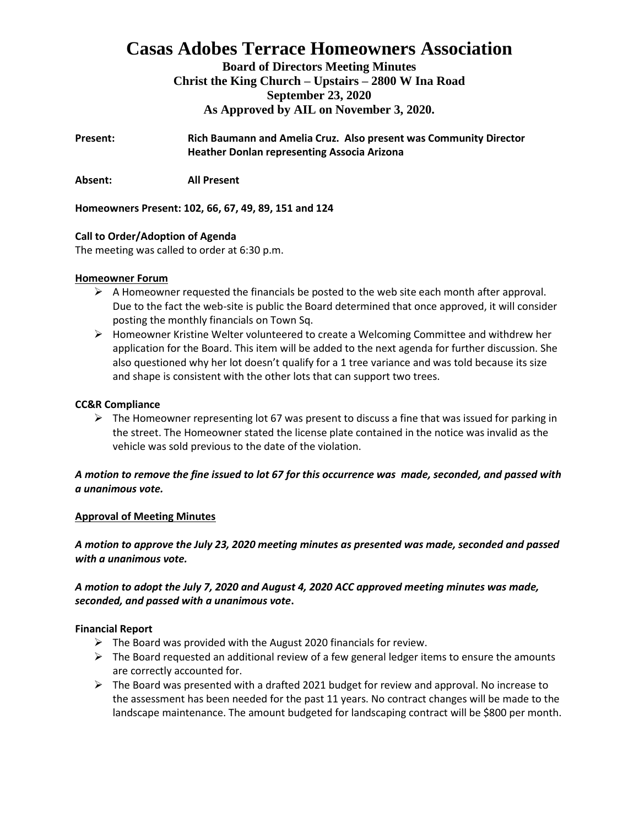# **Casas Adobes Terrace Homeowners Association**

**Board of Directors Meeting Minutes Christ the King Church – Upstairs – 2800 W Ina Road September 23, 2020 As Approved by AIL on November 3, 2020.**

**Present: Rich Baumann and Amelia Cruz. Also present was Community Director Heather Donlan representing Associa Arizona**

**Absent: All Present**

**Homeowners Present: 102, 66, 67, 49, 89, 151 and 124**

#### **Call to Order/Adoption of Agenda**

The meeting was called to order at 6:30 p.m.

#### **Homeowner Forum**

- $\triangleright$  A Homeowner requested the financials be posted to the web site each month after approval. Due to the fact the web-site is public the Board determined that once approved, it will consider posting the monthly financials on Town Sq.
- ➢ Homeowner Kristine Welter volunteered to create a Welcoming Committee and withdrew her application for the Board. This item will be added to the next agenda for further discussion. She also questioned why her lot doesn't qualify for a 1 tree variance and was told because its size and shape is consistent with the other lots that can support two trees.

#### **CC&R Compliance**

 $\triangleright$  The Homeowner representing lot 67 was present to discuss a fine that was issued for parking in the street. The Homeowner stated the license plate contained in the notice was invalid as the vehicle was sold previous to the date of the violation.

# *A motion to remove the fine issued to lot 67 for this occurrence was made, seconded, and passed with a unanimous vote.*

#### **Approval of Meeting Minutes**

*A motion to approve the July 23, 2020 meeting minutes as presented was made, seconded and passed with a unanimous vote.* 

*A motion to adopt the July 7, 2020 and August 4, 2020 ACC approved meeting minutes was made, seconded, and passed with a unanimous vote***.** 

#### **Financial Report**

- $\triangleright$  The Board was provided with the August 2020 financials for review.
- $\triangleright$  The Board requested an additional review of a few general ledger items to ensure the amounts are correctly accounted for.
- $\triangleright$  The Board was presented with a drafted 2021 budget for review and approval. No increase to the assessment has been needed for the past 11 years. No contract changes will be made to the landscape maintenance. The amount budgeted for landscaping contract will be \$800 per month.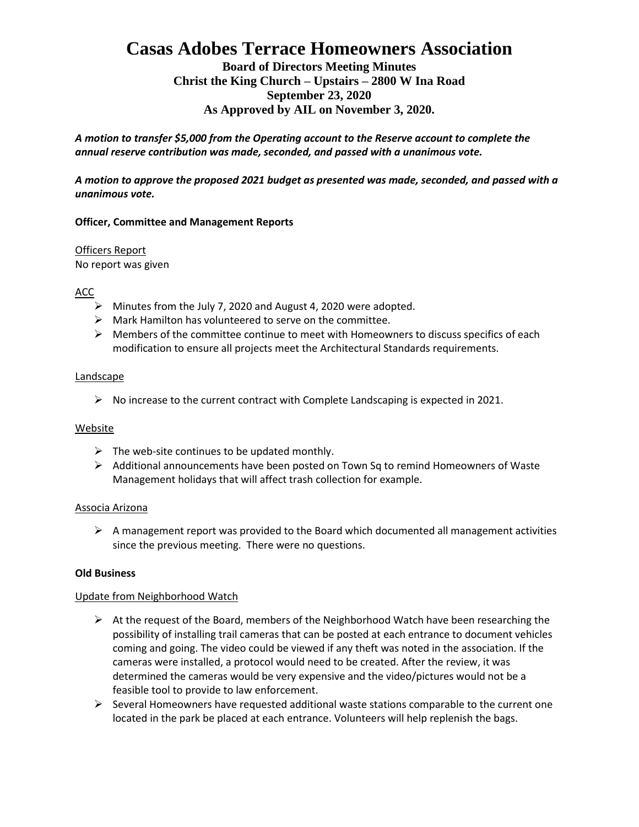# **Casas Adobes Terrace Homeowners Association**

**Board of Directors Meeting Minutes Christ the King Church – Upstairs – 2800 W Ina Road September 23, 2020 As Approved by AIL on November 3, 2020.**

*A motion to transfer \$5,000 from the Operating account to the Reserve account to complete the annual reserve contribution was made, seconded, and passed with a unanimous vote.*

*A motion to approve the proposed 2021 budget as presented was made, seconded, and passed with a unanimous vote.*

## **Officer, Committee and Management Reports**

Officers Report No report was given

## ACC

- ➢ Minutes from the July 7, 2020 and August 4, 2020 were adopted.
- $\triangleright$  Mark Hamilton has volunteered to serve on the committee.
- $\triangleright$  Members of the committee continue to meet with Homeowners to discuss specifics of each modification to ensure all projects meet the Architectural Standards requirements.

#### Landscape

 $\triangleright$  No increase to the current contract with Complete Landscaping is expected in 2021.

## Website

- $\triangleright$  The web-site continues to be updated monthly.
- $\triangleright$  Additional announcements have been posted on Town Sq to remind Homeowners of Waste Management holidays that will affect trash collection for example.

#### Associa Arizona

 $\triangleright$  A management report was provided to the Board which documented all management activities since the previous meeting. There were no questions.

## **Old Business**

## Update from Neighborhood Watch

- $\triangleright$  At the request of the Board, members of the Neighborhood Watch have been researching the possibility of installing trail cameras that can be posted at each entrance to document vehicles coming and going. The video could be viewed if any theft was noted in the association. If the cameras were installed, a protocol would need to be created. After the review, it was determined the cameras would be very expensive and the video/pictures would not be a feasible tool to provide to law enforcement.
- $\triangleright$  Several Homeowners have requested additional waste stations comparable to the current one located in the park be placed at each entrance. Volunteers will help replenish the bags.